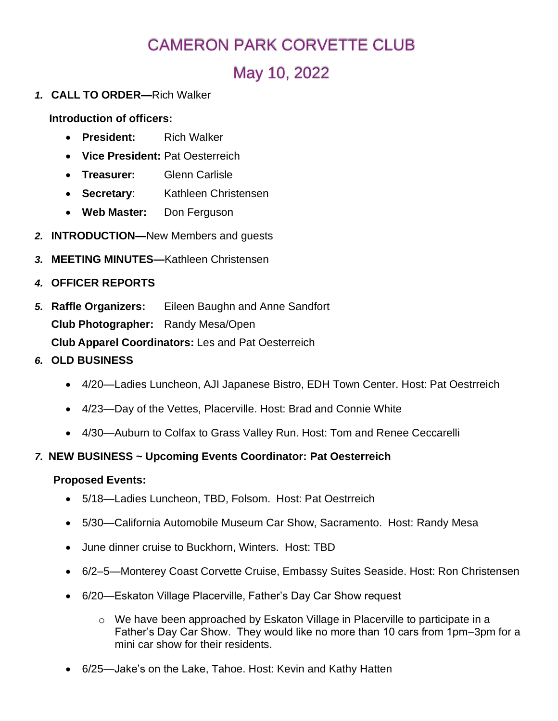# CAMERON PARK CORVETTE CLUB

# May 10, 2022

*1.* **CALL TO ORDER—**Rich Walker

**Introduction of officers:**

- **President:** Rich Walker
- **Vice President:** Pat Oesterreich
- **Treasurer:** Glenn Carlisle
- **Secretary**: Kathleen Christensen
- **Web Master:** Don Ferguson
- *2.* **INTRODUCTION—**New Members and guests
- *3.* **MEETING MINUTES—**Kathleen Christensen
- *4.* **OFFICER REPORTS**
- *5.* **Raffle Organizers:** Eileen Baughn and Anne Sandfort **Club Photographer:** Randy Mesa/Open **Club Apparel Coordinators:** Les and Pat Oesterreich
- *6.* **OLD BUSINESS**
	- 4/20—Ladies Luncheon, AJI Japanese Bistro, EDH Town Center. Host: Pat Oestrreich
	- 4/23—Day of the Vettes, Placerville. Host: Brad and Connie White
	- 4/30—Auburn to Colfax to Grass Valley Run. Host: Tom and Renee Ceccarelli

#### *7.* **NEW BUSINESS ~ Upcoming Events Coordinator: Pat Oesterreich**

#### **Proposed Events:**

- 5/18—Ladies Luncheon, TBD, Folsom. Host: Pat Oestrreich
- 5/30—California Automobile Museum Car Show, Sacramento. Host: Randy Mesa
- June dinner cruise to Buckhorn, Winters. Host: TBD
- 6/2–5—Monterey Coast Corvette Cruise, Embassy Suites Seaside. Host: Ron Christensen
- 6/20—Eskaton Village Placerville, Father's Day Car Show request
	- $\circ$  We have been approached by Eskaton Village in Placerville to participate in a Father's Day Car Show. They would like no more than 10 cars from 1pm–3pm for a mini car show for their residents.
- 6/25—Jake's on the Lake, Tahoe. Host: Kevin and Kathy Hatten